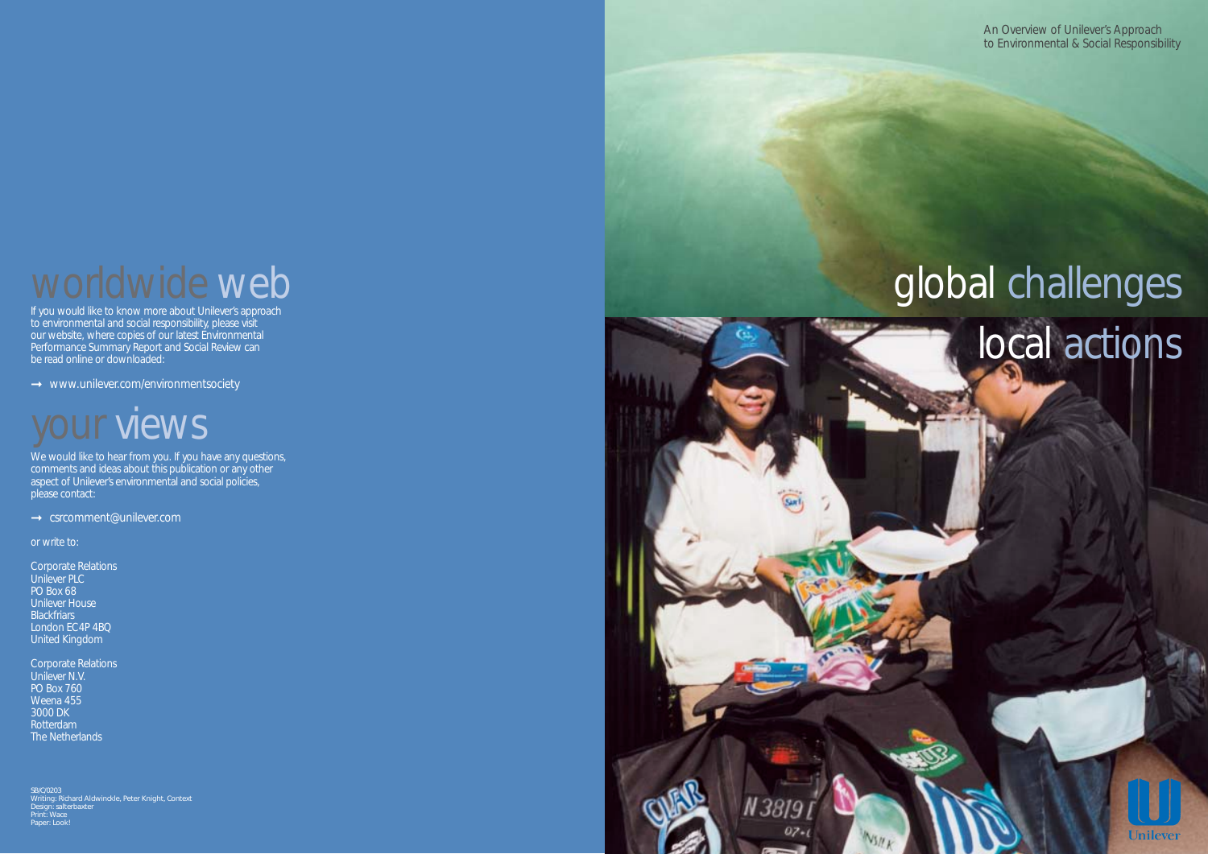# worldwide web

If you would like to know more about Unilever's approach to environmental and social responsibility, please visit our website, where copies of our latest Environmental Performance Summary Report and Social Review can be read online or downloaded:

**→** www.unilever.com/environmentsociety

# **Dur views**

We would like to hear from you. If you have any questions, comments and ideas about this publication or any other aspect of Unilever's environmental and social policies, please contact:

**→** csrcomment@unilever.com

Corporate Relations Unilever PLC PO Box 68 Unilever House **Blackfriars** London EC4P 4BQ United Kingdom

SB/C/0203 Writing: Richard Aldwinckle, Peter Knight, Context Design: salterbaxter Print: ' Paper: Look!

# global challenges local actions

We have negotiated the second print of the print of the print of the print of the print of the print of the print of the print of the print of the print of the print of the print of the print of the print of the print of t

07.



or write to:

Corporate Relations Unilever N.V. PO Box 760 Weena 455 3000 DK Rotterdam The Netherlands

An Overview of Unilever's Approach to Environmental & Social Responsibility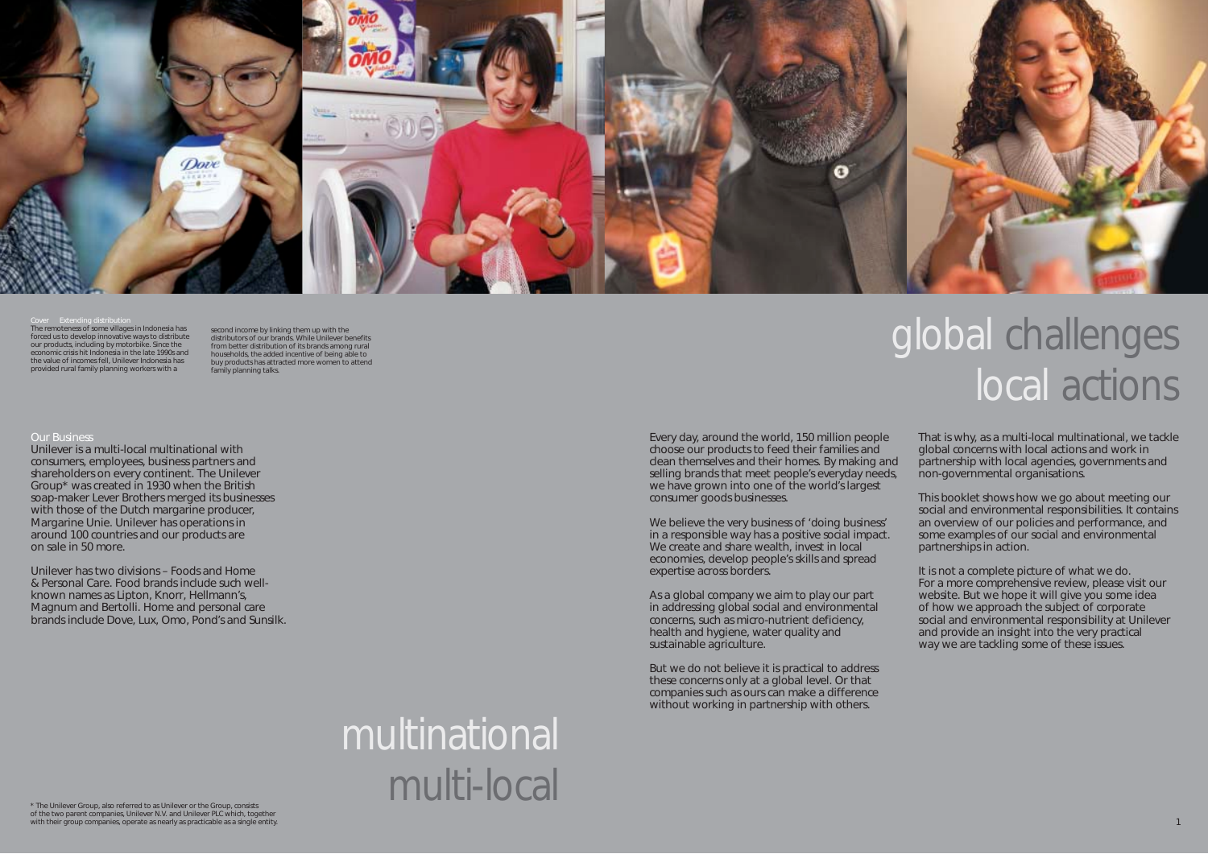

### Cover Extending distribution

The remoteness of some villages in Indonesia has forced us to develop innovative ways to distribute our products, including by motorbike. Since the economic crisis hit Indonesia in the late 1990s and the value of incomes fell, Unilever Indonesia has provided rural family planning workers with a

## Our Business

second income by linking them up with the distributors of our brands. While Unilever benefits from better distribution of its brands among rural households, the added incentive of being able to buy products has attracted more women to attend family planning talks.

\* The Unilever Group, also referred to as Unilever or the Group, consists of the two parent companies, Unilever N.V. and Unilever PLC which, together with their group companies, operate as nearly as practicable as a single entity.

Unilever is a multi-local multinational with consumers, employees, business partners and shareholders on every continent. The Unilever Group\* was created in 1930 when the British soap-maker Lever Brothers merged its businesses with those of the Dutch margarine producer, Margarine Unie. Unilever has operations in around 100 countries and our products are on sale in 50 more.

We believe the very business of 'doing business' in a responsible way has a positive social impact. We create and share wealth, invest in local economies, develop people's skills and spread expertise across borders.

Unilever has two divisions – Foods and Home & Personal Care. Food brands include such wellknown names as *Lipton*, *Knorr*, *Hellmann's*, *Magnum* and *Bertolli.* Home and personal care brands include *Dove*, *Lux*, *Omo*, *Pond's* and *Sunsilk.* 

# multinational multi-local

Every day, around the world, 150 million people choose our products to feed their families and clean themselves and their homes. By making and selling brands that meet people's everyday needs, we have grown into one of the world's largest consumer goods businesses.

# global challenges local actions

As a global company we aim to play our part in addressing global social and environmental concerns, such as micro-nutrient deficiency, health and hygiene, water quality and sustainable agriculture.

But we do not believe it is practical to address these concerns only at a global level. Or that companies such as ours can make a difference without working in partnership with others.

That is why, as a multi-local multinational, we tackle global concerns with local actions and work in partnership with local agencies, governments and non-governmental organisations.

This booklet shows how we go about meeting our social and environmental responsibilities. It contains an overview of our policies and performance, and some examples of our social and environmental partnerships in action.

It is not a complete picture of what we do. For a more comprehensive review, please visit our website. But we hope it will give you some idea of how we approach the subject of corporate social and environmental responsibility at Unilever and provide an insight into the very practical way we are tackling some of these issues.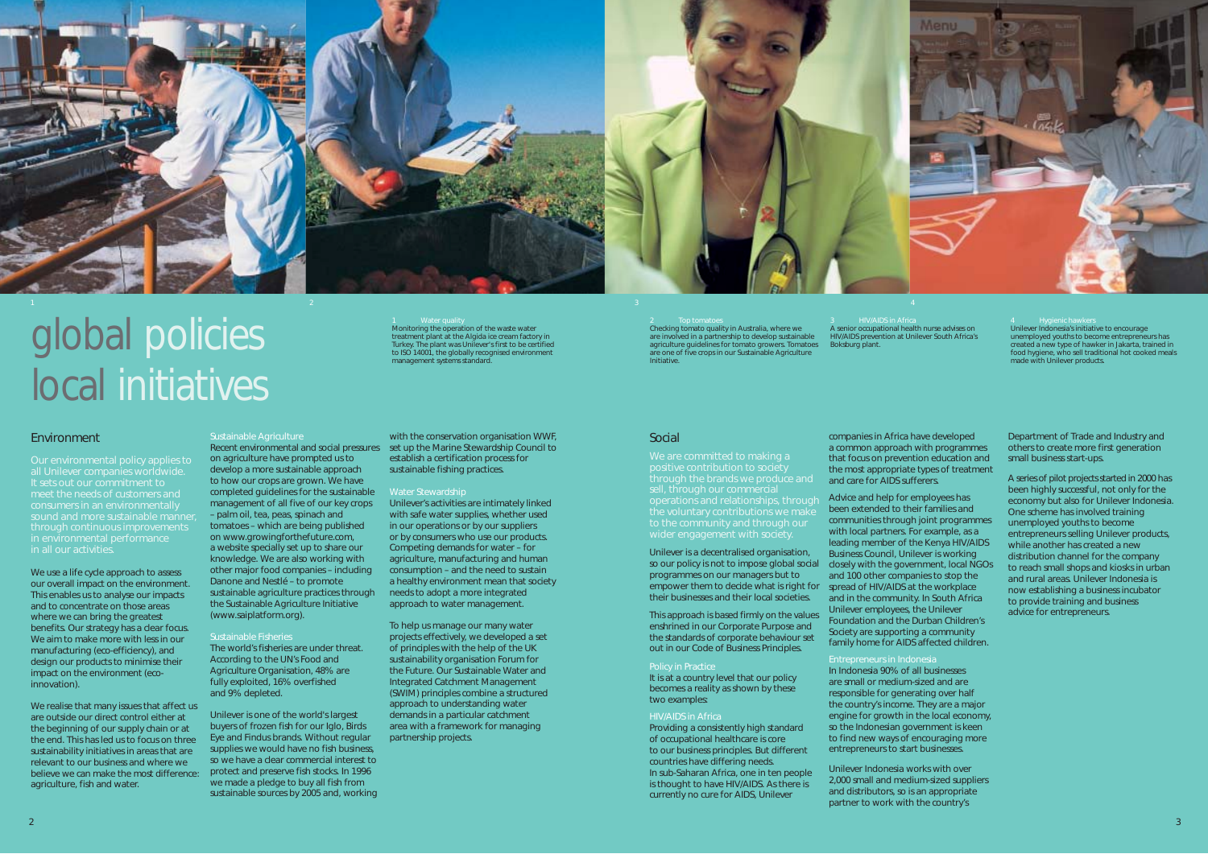

### 1 Water quality Monitoring the operation of the waste water treatment plant at the Algida ice cream factory in Turkey. The plant was Unilever's first to be certified to ISO 14001, the globally recognised environment management systems standard.

# **Environment**

with the conservation organisation WWF, Recent environmental and social pressures set up the Marine Stewardship Council to establish a certification process for sustainable fishing practices.

### Water Stewardship

Unilever's activities are intimately linked with safe water supplies, whether used in our operations or by our suppliers or by consumers who use our products. Competing demands for water – for agriculture, manufacturing and human consumption – and the need to sustain a healthy environment mean that society needs to adopt a more integrated approach to water management.

We are committed to making a through the brands we produce and sell, through our commercial operations and relationships, through to the community and through our wider engagement with society.

To help us manage our many water projects effectively, we developed a set of principles with the help of the UK sustainability organisation Forum for the Future. Our Sustainable Water and Integrated Catchment Management (SWIM) principles combine a structured approach to understanding water demands in a particular catchment area with a framework for managing partnership projects.

Checking tomato quality in Australia, where we are involved in a partnership to develop sustainable agriculture guidelines for tomato growers. Tomatoes are one of five crops in our Sustainable Agriculture Initiative.

## Social

Unilever is a decentralised organisation, so our policy is not to impose global social programmes on our managers but to empower them to decide what is right for spread of HIV/AIDS at the workplace their businesses and their local societies.

This approach is based firmly on the values enshrined in our Corporate Purpose and the standards of corporate behaviour set out in our Code of Business Principles.

It is at a country level that our policy becomes a reality as shown by these two examples:

## HIV/AIDS in Africa

Providing a consistently high standard of occupational healthcare is core to our business principles. But different countries have differing needs. In sub-Saharan Africa, one in ten people is thought to have HIV/AIDS. As there is currently no cure for AIDS, Unilever

A senior occupational health nurse advises on HIV/AIDS prevention at Unilever South Africa's Boksburg plant.

We use a life cycle approach to assess our overall impact on the environment. This enables us to analyse our impacts and to concentrate on those areas where we can bring the greatest benefits. Our strategy has a clear focus. We aim to make more with less in our manufacturing (eco-efficiency), and design our products to minimise their impact on the environment (ecoinnovation).

companies in Africa have developed a common approach with programmes that focus on prevention education and the most appropriate types of treatment and care for AIDS sufferers.

Advice and help for employees has been extended to their families and communities through joint programmes with local partners. For example, as a leading member of the Kenya HIV/AIDS Business Council, Unilever is working closely with the government, local NGOs and 100 other companies to stop the and in the community. In South Africa Unilever employees, the Unilever Foundation and the Durban Children's Society are supporting a community family home for AIDS affected children.

Entrepreneurs in Indonesia In Indonesia 90% of all businesses are small or medium-sized and are responsible for generating over half the country's income. They are a major engine for growth in the local economy, so the Indonesian government is keen to find new ways of encouraging more entrepreneurs to start businesses.

Unilever Indonesia works with over 2,000 small and medium-sized suppliers and distributors, so is an appropriate partner to work with the country's

Unilever Indonesia's initiative to encourage unemployed youths to become entrepreneurs has created a new type of hawker in Jakarta, trained in food hygiene, who sell traditional hot cooked meals made with Unilever products.

Department of Trade and Industry and others to create more first generation small business start-ups.

A series of pilot projects started in 2000 has been highly successful, not only for the economy but also for Unilever Indonesia. One scheme has involved training unemployed youths to become entrepreneurs selling Unilever products, while another has created a new distribution channel for the company to reach small shops and kiosks in urban and rural areas. Unilever Indonesia is now establishing a business incubator to provide training and business advice for entrepreneurs.

# global policies local initiatives

Our environmental policy applies to all Unilever companies worldwide. sound and more sustainable manner, through continuous improvements in all our activities.

We realise that many issues that affect us are outside our direct control either at the beginning of our supply chain or at the end. This has led us to focus on three sustainability initiatives in areas that are relevant to our business and where we believe we can make the most difference: agriculture, fish and water.

## Sustainable Agriculture

on agriculture have prompted us to develop a more sustainable approach to how our crops are grown. We have completed guidelines for the sustainable management of all five of our key crops – palm oil, tea, peas, spinach and tomatoes – which are being published on www.growingforthefuture.com, a website specially set up to share our knowledge. We are also working with other major food companies – including Danone and Nestlé – to promote sustainable agriculture practices through the Sustainable Agriculture Initiative (www.saiplatform.org).

### Sustainable Fisheries

The world's fisheries are under threat. According to the UN's Food and Agriculture Organisation, 48% are fully exploited, 16% overfished and 9% depleted.

Unilever is one of the world's largest buyers of frozen fish for our *Iglo*, *Birds Eye* and *Findus* brands. Without regular supplies we would have no fish business, so we have a clear commercial interest to protect and preserve fish stocks. In 1996 we made a pledge to buy all fish from sustainable sources by 2005 and, working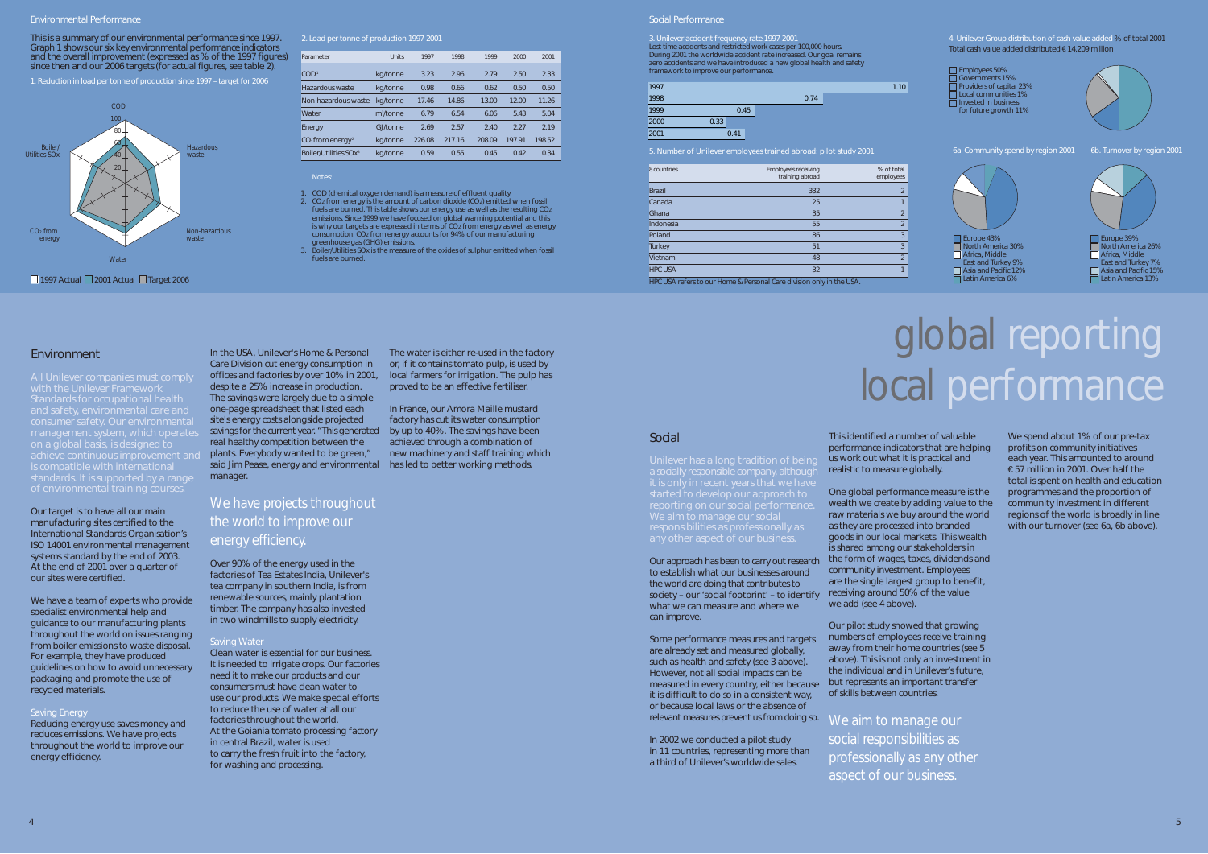### Environmental Performance

This is a summary of our environmental performance since 1997. 2. Load per tonne of production 1997-2001 Graph 1 shows our six key environmental performance indicators and the overall improvement (expressed as % of the 1997 figures) since then and our 2006 targets (for actual figures, see table 2).

1. Reduction in load per tonne of production since 1997 – target for 2006

## Parameter Units 1997 1998 1999 2000 2001 COD1 kg/tonne 3.23 2.96 2.79 2.50 2.33 Hazardous waste kg/tonne 0.98 0.66 0.62 0.50 0.50 Non-hazardous waste kg/tonne 17.46 14.86 13.00 12.00 11.26 Water m<sup>3</sup>/tonne /tonne 6.79 6.54 6.06 5.43 5.04 Energy GJ/tonne 2.69 2.57 2.40 2.27 2.19 CO2 from energy2 kg/tonne 226.08 217.16 208.09 197.91 198.52 Boiler/Utilities SOx3 kg/tonne 0.59 0.55 0.45 0.42 0.34

**Notes** 



We have a team of experts who provide specialist environmental help and guidance to our manufacturing plants throughout the world on issues ranging from boiler emissions to waste disposal. For example, they have produced guidelines on how to avoid unnecessary packaging and promote the use of recycled materials.

## **Saving Energy**

management system, which operates on a global basis, is designed to achieve continuous improvement and

# We have projects throughout the world to improve our energy efficiency.

1. COD (chemical oxygen demand) is a measure of effluent quality. 2. CO2 from energy is the amount of carbon dioxide (CO2) emitted when fossil fuels are burned. This table shows our energy use as well as the resulting CO2 emissions. Since 1999 we have focused on global warming potential and this is why our targets are expressed in terms of CO<sub>2</sub> from energy as well as energy<br>CO<sub>2</sub> from energy accounts for 94% of our manufacturing consumption. CO2 from energy accounts for 94% of our manufacturing greenhouse gas (GHG) emissions.

Boiler/Utilities SOx is the measure of the oxides of sulphur emitted when fossil fuels are burned.

■ 1997 Actual ■ 2001 Actual ■ Target 2006

**Environment** 

Our target is to have all our main manufacturing sites certified to the International Standards Organisation's ISO 14001 environmental management systems standard by the end of 2003. At the end of 2001 over a quarter of our sites were certified.

Reducing energy use saves money and reduces emissions. We have projects throughout the world to improve our energy efficiency.



In the USA, Unilever's Home & Personal Care Division cut energy consumption in offices and factories by over 10% in 2001, despite a 25% increase in production. The savings were largely due to a simple one-page spreadsheet that listed each site's energy costs alongside projected savings for the current year. "This generated real healthy competition between the plants. Everybody wanted to be green," said Jim Pease, energy and environmental manager.

# global reporting local performance

This identified a number of valuable We spend about 1% of our pre-tax performance indicators that are helping profits on community initiatives us work out what it is practical and each year. This amounted to around realistic to measure globally. **€57 million in 2001.** Over half the

Over 90% of the energy used in the factories of Tea Estates India, Unilever's tea company in southern India, is from renewable sources, mainly plantation timber. The company has also invested in two windmills to supply electricity.

# Saving Wate

Clean water is essential for our business. It is needed to irrigate crops. Our factories need it to make our products and our consumers must have clean water to use our products. We make special efforts to reduce the use of water at all our factories throughout the world. At the Goiania tomato processing factory in central Brazil, water is used to carry the fresh fruit into the factory, for washing and processing.

Our approach has been to carry out research the form of wages, taxes, dividends and One global performance measure is the programmes and the proportion of wealth we create by adding value to the community investment in different raw materials we buy around the world regions of the world is broadly in line as they are processed into branded with our turnover (see 6a, 6b above). goods in our local markets. This wealth is shared among our stakeholders in community investment. Employees are the single largest group to benefit, receiving around 50% of the value we add (see 4 above).

The water is either re-used in the factory

or, if it contains tomato pulp, is used by local farmers for irrigation. The pulp has proved to be an effective fertiliser.

In France, our *Amora Maille* mustard factory has cut its water consumption by up to 40%. The savings have been achieved through a combination of new machinery and staff training which has led to better working methods.

## Social Performance

During 2001 the worldwide accident rate increased. Our goal remains zero accidents and we have introduced a new global health and safety framework to improve our performance.

| 1997 |      |      | 1.10 |
|------|------|------|------|
| 1998 |      | 0.74 |      |
| 1999 | 0.45 |      |      |
| 2000 | 0.33 |      |      |
| 2001 | 0.41 |      |      |
|      |      |      |      |

| 8 countries    | <b>Employees receiving</b><br>training abroad | % of total<br>employees |
|----------------|-----------------------------------------------|-------------------------|
| <b>Brazil</b>  | 332                                           | $\overline{2}$          |
| Canada         | 25                                            | 1                       |
| Ghana          | 35                                            | $\overline{2}$          |
| Indonesia      | 55                                            | $\overline{2}$          |
| Poland         | 86                                            | 3                       |
| <b>Turkey</b>  | 51                                            | 3                       |
| Vietnam        | 48                                            | $\overline{2}$          |
| <b>HPC USA</b> | 32                                            | 1                       |
|                |                                               |                         |

 $\hat{\;}$  LISA refers to our Home & Personal Care division only in the USA.

# Social

a socially responsible company, although started to develop our approach to We aim to manage our social

to establish what our businesses around the world are doing that contributes to society – our 'social footprint' – to identify what we can measure and where we can improve.

Some performance measures and targets are already set and measured globally, such as health and safety (see 3 above). However, not all social impacts can be measured in every country, either because but represents an important transfer it is difficult to do so in a consistent way, or because local laws or the absence of

In 2002 we conducted a pilot study in 11 countries, representing more than a third of Unilever's worldwide sales.

total is spent on health and education

relevant measures prevent us from doing so. We aim to manage our social responsibilities as professionally as any other aspect of our business.

3. Unilever accident frequency rate 1997-2001<br>
Lost time accidents and restricted work cases per 100,000 hours.<br>
Total cash value added distribution of cash value added distribution of cash value added distribution 6.14.20 Total cash value added distributed € 14,209 million

> Our pilot study showed that growing numbers of employees receive training away from their home countries (see 5 above). This is not only an investment in the individual and in Unilever's future, of skills between countries.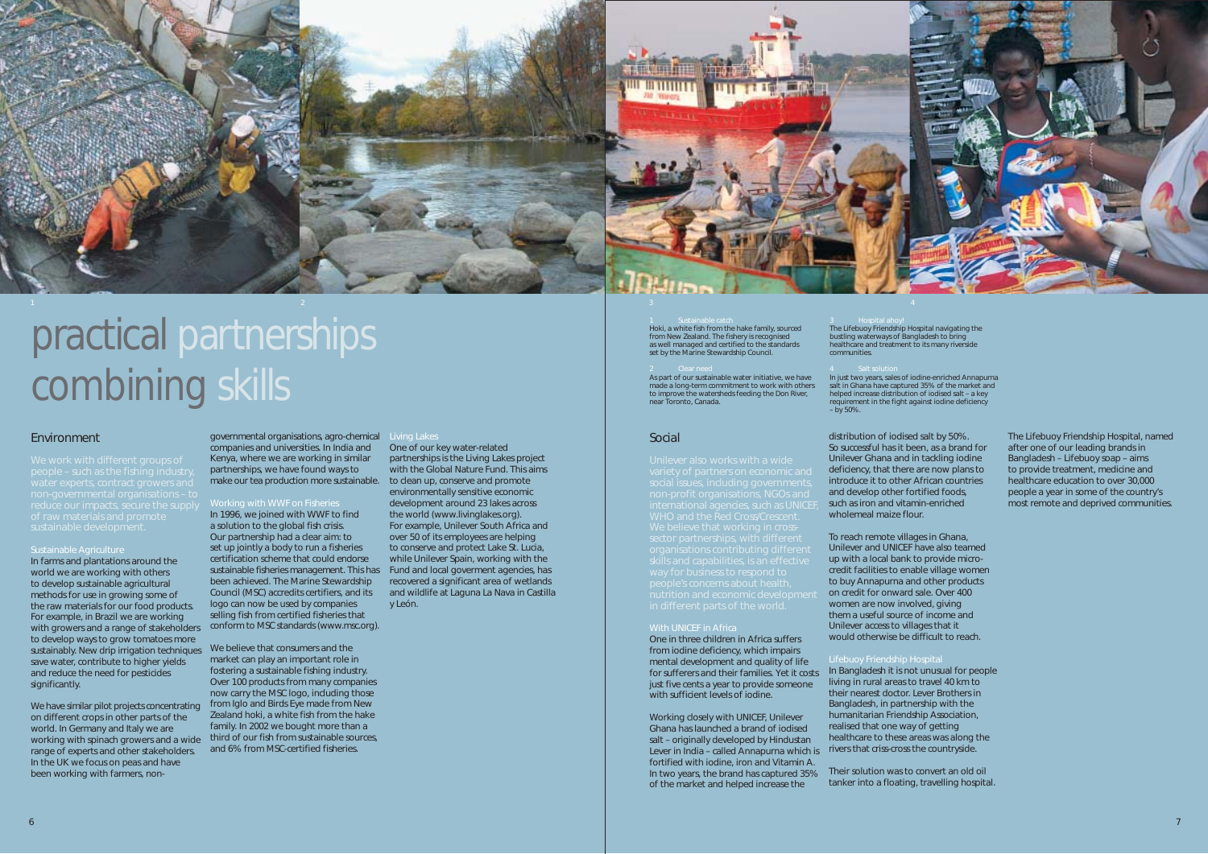



# practical partnerships combining skills

# **Environment**

We work with different groups of

### Sustainable Agriculture

We have similar pilot projects concentrating on different crops in other parts of the world. In Germany and Italy we are working with spinach growers and a wide range of experts and other stakeholders. In the UK we focus on peas and have been working with farmers, non-

In farms and plantations around the world we are working with others to develop sustainable agricultural methods for use in growing some of the raw materials for our food products. For example, in Brazil we are working with growers and a range of stakeholders conform to MSC standards (www.msc.org). to develop ways to grow tomatoes more sustainably. New drip irrigation techniques We believe that consumers and the save water, contribute to higher yields and reduce the need for pesticides significantly.

environmentally sensitive economic Working with WWF on Fisheries development around 23 lakes across

In 1996, we joined with WWF to find the world (www.livinglakes.org). a solution to the global fish crisis. For example, Unilever South Africa and Our partnership had a clear aim: to over 50 of its employees are helping set up jointly a body to run a fisheries to conserve and protect Lake St. Lucia, certification scheme that could endorse while Unilever Spain, working with the sustainable fisheries management. This has Fund and local goverment agencies, has been achieved. The Marine Stewardship recovered a significant area of wetlands Council (MSC) accredits certifiers, and its and wildlife at Laguna La Nava in Castilla logo can now be used by companies y León. selling fish from certified fisheries that

governmental organisations, agro-chemical Living Lakes companies and universities. In India and One of our key water-related<br>Kenya, where we are working in similar partnerships is the Living Lakes project Kenya, where we are working in similar partnerships is the Living Lakes project<br>partnerships we have found ways to with the Global Nature Fund. This aims partnerships, we have found ways to make our tea production more sustainable. to clean up, conserve and promote

market can play an important role in fostering a sustainable fishing industry. Over 100 products from many companies now carry the MSC logo, including those from *Iglo* and *Birds Eye* made from New Zealand hoki, a white fish from the hake family. In 2002 we bought more than a third of our fish from sustainable sources, and 6% from MSC-certified fisheries.

### Hoki, a white fish from the hake family, sourced from New Zealand. The fishery is recognised as well managed and certified to the standards set by the Marine Stewardship Council.

As part of our sustainable water initiative, we have made a long-term commitment to work with others to improve the watersheds feeding the Don River, near Toronto, Canada.

# Social

way for business to respond to

## With UNICEF in Africa

One in three children in Africa suffers from iodine deficiency, which impairs mental development and quality of life for sufferers and their families. Yet it costs just five cents a year to provide someone with sufficient levels of iodine.

Working closely with UNICEF, Unilever Ghana has launched a brand of iodised salt – originally developed by Hindustan Lever in India – called *Annapurna* which is fortified with iodine, iron and Vitamin A. In two years, the brand has captured 35% of the market and helped increase the

## The *Lifebuoy* Friendship Hospital navigating the bustling waterways of Bangladesh to bring healthcare and treatment to its many riverside communities.

In just two years, sales of iodine-enriched *Annapurna*  salt in Ghana have captured 35% of the market and helped increase distribution of iodised salt – a key requirement in the fight against iodine deficiency – by 50%.

distribution of iodised salt by 50%. So successful has it been, as a brand for Unilever Ghana and in tackling iodine deficiency, that there are now plans to introduce it to other African countries and develop other fortified foods, such as iron and vitamin-enriched wholemeal maize flour.

To reach remote villages in Ghana, Unilever and UNICEF have also teamed up with a local bank to provide microcredit facilities to enable village women to buy *Annapurna* and other products on credit for onward sale. Over 400 women are now involved, giving them a useful source of income and Unilever access to villages that it would otherwise be difficult to reach.

In Bangladesh it is not unusual for people living in rural areas to travel 40 km to their nearest doctor. Lever Brothers in Bangladesh, in partnership with the humanitarian Friendship Association, realised that one way of getting healthcare to these areas was along the rivers that criss-cross the countryside.

Their solution was to convert an old oil tanker into a floating, travelling hospital.

The *Lifebuoy* Friendship Hospital, named after one of our leading brands in Bangladesh – *Lifebuoy* soap – aims to provide treatment, medicine and healthcare education to over 30,000 people a year in some of the country's most remote and deprived communities.